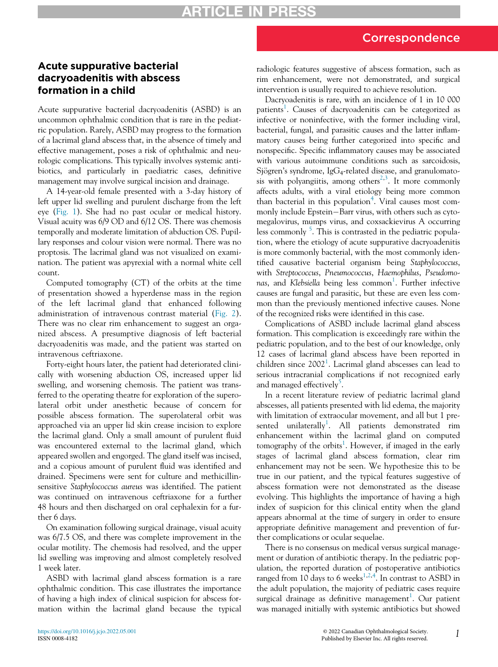## Correspondence

## Acute suppurative bacterial dacryoadenitis with abscess formation in a child

Acute suppurative bacterial dacryoadenitis (ASBD) is an uncommon ophthalmic condition that is rare in the pediatric population. Rarely, ASBD may progress to the formation of a lacrimal gland abscess that, in the absence of timely and effective management, poses a risk of ophthalmic and neurologic complications. This typically involves systemic antibiotics, and particularly in paediatric cases, definitive management may involve surgical incision and drainage.

A 14-year-old female presented with a 3-day history of left upper lid swelling and purulent discharge from the left eye [\(Fig. 1](#page-1-0)). She had no past ocular or medical history. Visual acuity was 6/9 OD and 6/12 OS. There was chemosis temporally and moderate limitation of abduction OS. Pupillary responses and colour vision were normal. There was no proptosis. The lacrimal gland was not visualized on examination. The patient was apyrexial with a normal white cell count.

Computed tomography (CT) of the orbits at the time of presentation showed a hyperdense mass in the region of the left lacrimal gland that enhanced following administration of intravenous contrast material ([Fig. 2](#page-1-1)). There was no clear rim enhancement to suggest an organized abscess. A presumptive diagnosis of left bacterial dacryoadenitis was made, and the patient was started on intravenous ceftriaxone.

Forty-eight hours later, the patient had deteriorated clinically with worsening abduction OS, increased upper lid swelling, and worsening chemosis. The patient was transferred to the operating theatre for exploration of the superolateral orbit under anesthetic because of concern for possible abscess formation. The superolateral orbit was approached via an upper lid skin crease incision to explore the lacrimal gland. Only a small amount of purulent fluid was encountered external to the lacrimal gland, which appeared swollen and engorged. The gland itself was incised, and a copious amount of purulent fluid was identified and drained. Specimens were sent for culture and methicillinsensitive Staphylococcus aureus was identified. The patient was continued on intravenous ceftriaxone for a further 48 hours and then discharged on oral cephalexin for a further 6 days.

On examination following surgical drainage, visual acuity was 6/7.5 OS, and there was complete improvement in the ocular motility. The chemosis had resolved, and the upper lid swelling was improving and almost completely resolved 1 week later.

ASBD with lacrimal gland abscess formation is a rare ophthalmic condition. This case illustrates the importance of having a high index of clinical suspicion for abscess formation within the lacrimal gland because the typical radiologic features suggestive of abscess formation, such as rim enhancement, were not demonstrated, and surgical intervention is usually required to achieve resolution.

Dacryoadenitis is rare, with an incidence of 1 in 10 000 patients<sup>[1](#page-1-2)</sup>. Causes of dacryoadenitis can be categorized as infective or noninfective, with the former including viral, bacterial, fungal, and parasitic causes and the latter inflammatory causes being further categorized into specific and nonspecific. Specific inflammatory causes may be associated with various autoimmune conditions such as sarcoidosis, Sjögren's syndrome, Ig $G_4$ -related disease, and granulomato-sis with polyangiitis, among others<sup>[2](#page-1-3),[3](#page-1-4)</sup>. It more commonly affects adults, with a viral etiology being more common than bacterial in this population<sup>[4](#page-1-5)</sup>. Viral causes most commonly include Epstein-Barr virus, with others such as cytomegalovirus, mumps virus, and coxsackievirus A occurring less commonly <sup>[5](#page-1-6)</sup>. This is contrasted in the pediatric population, where the etiology of acute suppurative dacryoadenitis is more commonly bacterial, with the most commonly identified causative bacterial organism being Staphylococcus, with Streptococcus, Pneumococcus, Haemophilus, Pseudomonas, and Klebsiella being less common<sup>1</sup>. Further infective causes are fungal and parasitic, but these are even less common than the previously mentioned infective causes. None of the recognized risks were identified in this case.

Complications of ASBD include lacrimal gland abscess formation. This complication is exceedingly rare within the pediatric population, and to the best of our knowledge, only 12 cases of lacrimal gland abscess have been reported in children since  $2002<sup>1</sup>$ . Lacrimal gland abscesses can lead to serious intracranial complications if not recognized early and managed effectively<sup>[5](#page-1-6)</sup>.

In a recent literature review of pediatric lacrimal gland abscesses, all patients presented with lid edema, the majority with limitation of extraocular movement, and all but 1 presented unilaterally<sup>1</sup>. All patients demonstrated rim enhancement within the lacrimal gland on computed tomography of the orbits<sup>1</sup>. However, if imaged in the early stages of lacrimal gland abscess formation, clear rim enhancement may not be seen. We hypothesize this to be true in our patient, and the typical features suggestive of abscess formation were not demonstrated as the disease evolving. This highlights the importance of having a high index of suspicion for this clinical entity when the gland appears abnormal at the time of surgery in order to ensure appropriate definitive management and prevention of further complications or ocular sequelae.

There is no consensus on medical versus surgical management or duration of antibiotic therapy. In the pediatric population, the reported duration of postoperative antibiotics ranged from [1](#page-1-2)0 days to 6 weeks<sup>1,[2,](#page-1-3)[4](#page-1-5)</sup>. In contrast to ASBD in the adult population, the majority of pediatric cases require surgical drainage as definitive management<sup>1</sup>. Our patient was managed initially with systemic antibiotics but showed